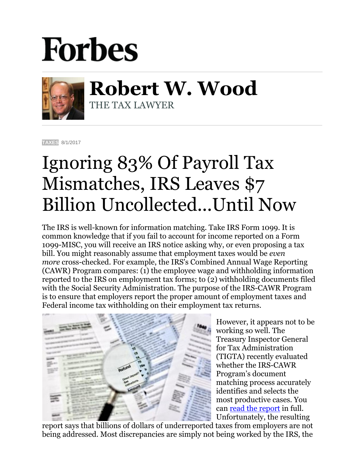## **Forbes**



**Robert W. Wood** THE TAX LAWYER

**[TAXES](https://www.forbes.com/taxes)** 8/1/2017

## Ignoring 83% Of Payroll Tax Mismatches, IRS Leaves \$7 Billion Uncollected...Until Now

The IRS is well-known for information matching. Take IRS Form 1099. It is common knowledge that if you fail to account for income reported on a Form 1099-MISC, you will receive an IRS notice asking why, or even proposing a tax bill. You might reasonably assume that employment taxes would be *even more* cross-checked. For example, the IRS's Combined Annual Wage Reporting (CAWR) Program compares: (1) the employee wage and withholding information reported to the IRS on employment tax forms; to (2) withholding documents filed with the Social Security Administration. The purpose of the IRS-CAWR Program is to ensure that employers report the proper amount of employment taxes and Federal income tax withholding on their employment tax returns.



However, it appears not to be working so well. The Treasury Inspector General for Tax Administration (TIGTA) recently evaluated whether the IRS-CAWR Program's document matching process accurately identifies and selects the most productive cases. You can [read the report](https://www.treasury.gov/tigta/auditreports/2017reports/201740038fr.pdf) in full. Unfortunately, the resulting

report says that billions of dollars of underreported taxes from employers are not being addressed. Most discrepancies are simply not being worked by the IRS, the